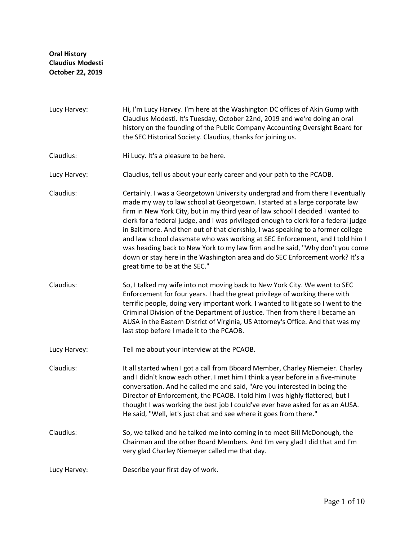- Lucy Harvey: Hi, I'm Lucy Harvey. I'm here at the Washington DC offices of Akin Gump with Claudius Modesti. It's Tuesday, October 22nd, 2019 and we're doing an oral history on the founding of the Public Company Accounting Oversight Board for the SEC Historical Society. Claudius, thanks for joining us.
- Claudius: Hi Lucy. It's a pleasure to be here.
- Lucy Harvey: Claudius, tell us about your early career and your path to the PCAOB.
- Claudius: Certainly. I was a Georgetown University undergrad and from there I eventually made my way to law school at Georgetown. I started at a large corporate law firm in New York City, but in my third year of law school I decided I wanted to clerk for a federal judge, and I was privileged enough to clerk for a federal judge in Baltimore. And then out of that clerkship, I was speaking to a former college and law school classmate who was working at SEC Enforcement, and I told him I was heading back to New York to my law firm and he said, "Why don't you come down or stay here in the Washington area and do SEC Enforcement work? It's a great time to be at the SEC."
- Claudius: So, I talked my wife into not moving back to New York City. We went to SEC Enforcement for four years. I had the great privilege of working there with terrific people, doing very important work. I wanted to litigate so I went to the Criminal Division of the Department of Justice. Then from there I became an AUSA in the Eastern District of Virginia, US Attorney's Office. And that was my last stop before I made it to the PCAOB.
- Lucy Harvey: Tell me about your interview at the PCAOB.

Claudius: It all started when I got a call from Bboard Member, Charley Niemeier. Charley and I didn't know each other. I met him I think a year before in a five-minute conversation. And he called me and said, "Are you interested in being the Director of Enforcement, the PCAOB. I told him I was highly flattered, but I thought I was working the best job I could've ever have asked for as an AUSA. He said, "Well, let's just chat and see where it goes from there."

Claudius: So, we talked and he talked me into coming in to meet Bill McDonough, the Chairman and the other Board Members. And I'm very glad I did that and I'm very glad Charley Niemeyer called me that day.

Lucy Harvey: Describe your first day of work.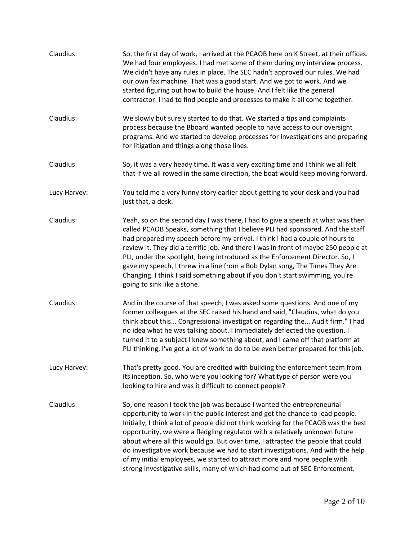| Claudius:    | So, the first day of work, I arrived at the PCAOB here on K Street, at their offices.<br>We had four employees. I had met some of them during my interview process.<br>We didn't have any rules in place. The SEC hadn't approved our rules. We had<br>our own fax machine. That was a good start. And we got to work. And we<br>started figuring out how to build the house. And I felt like the general<br>contractor. I had to find people and processes to make it all come together.                                                                                                                                                                      |
|--------------|----------------------------------------------------------------------------------------------------------------------------------------------------------------------------------------------------------------------------------------------------------------------------------------------------------------------------------------------------------------------------------------------------------------------------------------------------------------------------------------------------------------------------------------------------------------------------------------------------------------------------------------------------------------|
| Claudius:    | We slowly but surely started to do that. We started a tips and complaints<br>process because the Bboard wanted people to have access to our oversight<br>programs. And we started to develop processes for investigations and preparing<br>for litigation and things along those lines.                                                                                                                                                                                                                                                                                                                                                                        |
| Claudius:    | So, it was a very heady time. It was a very exciting time and I think we all felt<br>that if we all rowed in the same direction, the boat would keep moving forward.                                                                                                                                                                                                                                                                                                                                                                                                                                                                                           |
| Lucy Harvey: | You told me a very funny story earlier about getting to your desk and you had<br>just that, a desk.                                                                                                                                                                                                                                                                                                                                                                                                                                                                                                                                                            |
| Claudius:    | Yeah, so on the second day I was there, I had to give a speech at what was then<br>called PCAOB Speaks, something that I believe PLI had sponsored. And the staff<br>had prepared my speech before my arrival. I think I had a couple of hours to<br>review it. They did a terrific job. And there I was in front of maybe 250 people at<br>PLI, under the spotlight, being introduced as the Enforcement Director. So, I<br>gave my speech, I threw in a line from a Bob Dylan song, The Times They Are<br>Changing. I think I said something about if you don't start swimming, you're<br>going to sink like a stone.                                        |
| Claudius:    | And in the course of that speech, I was asked some questions. And one of my<br>former colleagues at the SEC raised his hand and said, "Claudius, what do you<br>think about this Congressional investigation regarding the Audit firm." I had<br>no idea what he was talking about. I immediately deflected the question. I<br>turned it to a subject I knew something about, and I came off that platform at<br>PLI thinking, I've got a lot of work to do to be even better prepared for this job.                                                                                                                                                           |
| Lucy Harvey: | That's pretty good. You are credited with building the enforcement team from<br>its inception. So, who were you looking for? What type of person were you<br>looking to hire and was it difficult to connect people?                                                                                                                                                                                                                                                                                                                                                                                                                                           |
| Claudius:    | So, one reason I took the job was because I wanted the entrepreneurial<br>opportunity to work in the public interest and get the chance to lead people.<br>Initially, I think a lot of people did not think working for the PCAOB was the best<br>opportunity, we were a fledgling regulator with a relatively unknown future<br>about where all this would go. But over time, I attracted the people that could<br>do investigative work because we had to start investigations. And with the help<br>of my initial employees, we started to attract more and more people with<br>strong investigative skills, many of which had come out of SEC Enforcement. |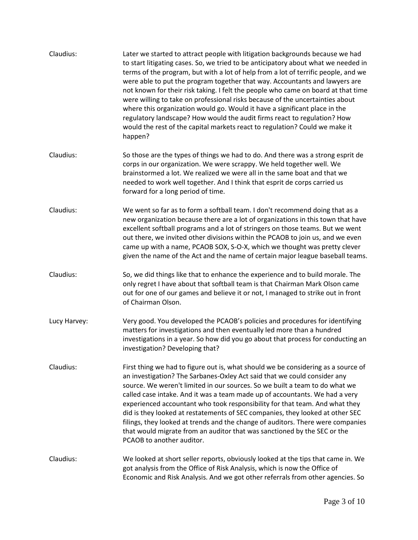| Claudius:    | Later we started to attract people with litigation backgrounds because we had<br>to start litigating cases. So, we tried to be anticipatory about what we needed in<br>terms of the program, but with a lot of help from a lot of terrific people, and we<br>were able to put the program together that way. Accountants and lawyers are<br>not known for their risk taking. I felt the people who came on board at that time<br>were willing to take on professional risks because of the uncertainties about<br>where this organization would go. Would it have a significant place in the<br>regulatory landscape? How would the audit firms react to regulation? How<br>would the rest of the capital markets react to regulation? Could we make it<br>happen? |
|--------------|--------------------------------------------------------------------------------------------------------------------------------------------------------------------------------------------------------------------------------------------------------------------------------------------------------------------------------------------------------------------------------------------------------------------------------------------------------------------------------------------------------------------------------------------------------------------------------------------------------------------------------------------------------------------------------------------------------------------------------------------------------------------|
| Claudius:    | So those are the types of things we had to do. And there was a strong esprit de<br>corps in our organization. We were scrappy. We held together well. We<br>brainstormed a lot. We realized we were all in the same boat and that we<br>needed to work well together. And I think that esprit de corps carried us<br>forward for a long period of time.                                                                                                                                                                                                                                                                                                                                                                                                            |
| Claudius:    | We went so far as to form a softball team. I don't recommend doing that as a<br>new organization because there are a lot of organizations in this town that have<br>excellent softball programs and a lot of stringers on those teams. But we went<br>out there, we invited other divisions within the PCAOB to join us, and we even<br>came up with a name, PCAOB SOX, S-O-X, which we thought was pretty clever<br>given the name of the Act and the name of certain major league baseball teams.                                                                                                                                                                                                                                                                |
| Claudius:    | So, we did things like that to enhance the experience and to build morale. The<br>only regret I have about that softball team is that Chairman Mark Olson came<br>out for one of our games and believe it or not, I managed to strike out in front<br>of Chairman Olson.                                                                                                                                                                                                                                                                                                                                                                                                                                                                                           |
| Lucy Harvey: | Very good. You developed the PCAOB's policies and procedures for identifying<br>matters for investigations and then eventually led more than a hundred<br>investigations in a year. So how did you go about that process for conducting an<br>investigation? Developing that?                                                                                                                                                                                                                                                                                                                                                                                                                                                                                      |
| Claudius:    | First thing we had to figure out is, what should we be considering as a source of<br>an investigation? The Sarbanes-Oxley Act said that we could consider any<br>source. We weren't limited in our sources. So we built a team to do what we<br>called case intake. And it was a team made up of accountants. We had a very<br>experienced accountant who took responsibility for that team. And what they<br>did is they looked at restatements of SEC companies, they looked at other SEC<br>filings, they looked at trends and the change of auditors. There were companies<br>that would migrate from an auditor that was sanctioned by the SEC or the<br>PCAOB to another auditor.                                                                            |
| Claudius:    | We looked at short seller reports, obviously looked at the tips that came in. We<br>got analysis from the Office of Risk Analysis, which is now the Office of<br>Economic and Risk Analysis. And we got other referrals from other agencies. So                                                                                                                                                                                                                                                                                                                                                                                                                                                                                                                    |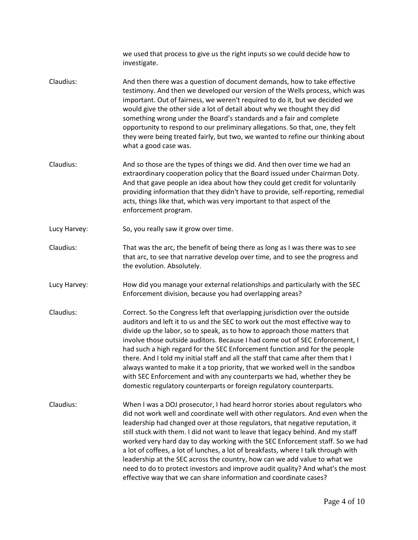we used that process to give us the right inputs so we could decide how to investigate. Claudius: And then there was a question of document demands, how to take effective testimony. And then we developed our version of the Wells process, which was important. Out of fairness, we weren't required to do it, but we decided we would give the other side a lot of detail about why we thought they did something wrong under the Board's standards and a fair and complete opportunity to respond to our preliminary allegations. So that, one, they felt they were being treated fairly, but two, we wanted to refine our thinking about what a good case was. Claudius: And so those are the types of things we did. And then over time we had an extraordinary cooperation policy that the Board issued under Chairman Doty. And that gave people an idea about how they could get credit for voluntarily providing information that they didn't have to provide, self-reporting, remedial acts, things like that, which was very important to that aspect of the enforcement program. Lucy Harvey: So, you really saw it grow over time. Claudius: That was the arc, the benefit of being there as long as I was there was to see that arc, to see that narrative develop over time, and to see the progress and the evolution. Absolutely. Lucy Harvey: How did you manage your external relationships and particularly with the SEC Enforcement division, because you had overlapping areas? Claudius: Correct. So the Congress left that overlapping jurisdiction over the outside auditors and left it to us and the SEC to work out the most effective way to divide up the labor, so to speak, as to how to approach those matters that involve those outside auditors. Because I had come out of SEC Enforcement, I had such a high regard for the SEC Enforcement function and for the people there. And I told my initial staff and all the staff that came after them that I always wanted to make it a top priority, that we worked well in the sandbox with SEC Enforcement and with any counterparts we had, whether they be domestic regulatory counterparts or foreign regulatory counterparts. Claudius: When I was a DOJ prosecutor, I had heard horror stories about regulators who did not work well and coordinate well with other regulators. And even when the leadership had changed over at those regulators, that negative reputation, it still stuck with them. I did not want to leave that legacy behind. And my staff worked very hard day to day working with the SEC Enforcement staff. So we had a lot of coffees, a lot of lunches, a lot of breakfasts, where I talk through with leadership at the SEC across the country, how can we add value to what we need to do to protect investors and improve audit quality? And what's the most effective way that we can share information and coordinate cases?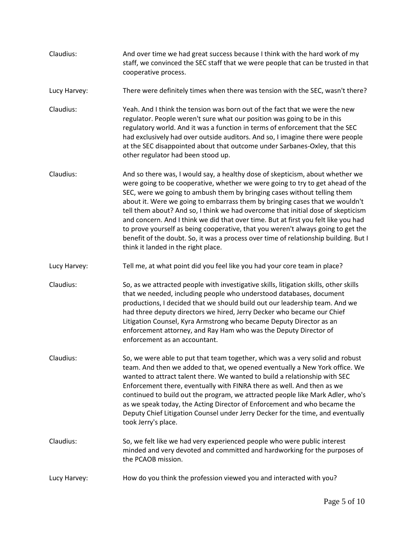| Claudius:    | And over time we had great success because I think with the hard work of my<br>staff, we convinced the SEC staff that we were people that can be trusted in that<br>cooperative process.                                                                                                                                                                                                                                                                                                                                                                                                                                                                                                                                 |
|--------------|--------------------------------------------------------------------------------------------------------------------------------------------------------------------------------------------------------------------------------------------------------------------------------------------------------------------------------------------------------------------------------------------------------------------------------------------------------------------------------------------------------------------------------------------------------------------------------------------------------------------------------------------------------------------------------------------------------------------------|
| Lucy Harvey: | There were definitely times when there was tension with the SEC, wasn't there?                                                                                                                                                                                                                                                                                                                                                                                                                                                                                                                                                                                                                                           |
| Claudius:    | Yeah. And I think the tension was born out of the fact that we were the new<br>regulator. People weren't sure what our position was going to be in this<br>regulatory world. And it was a function in terms of enforcement that the SEC<br>had exclusively had over outside auditors. And so, I imagine there were people<br>at the SEC disappointed about that outcome under Sarbanes-Oxley, that this<br>other regulator had been stood up.                                                                                                                                                                                                                                                                            |
| Claudius:    | And so there was, I would say, a healthy dose of skepticism, about whether we<br>were going to be cooperative, whether we were going to try to get ahead of the<br>SEC, were we going to ambush them by bringing cases without telling them<br>about it. Were we going to embarrass them by bringing cases that we wouldn't<br>tell them about? And so, I think we had overcome that initial dose of skepticism<br>and concern. And I think we did that over time. But at first you felt like you had<br>to prove yourself as being cooperative, that you weren't always going to get the<br>benefit of the doubt. So, it was a process over time of relationship building. But I<br>think it landed in the right place. |
| Lucy Harvey: | Tell me, at what point did you feel like you had your core team in place?                                                                                                                                                                                                                                                                                                                                                                                                                                                                                                                                                                                                                                                |
| Claudius:    | So, as we attracted people with investigative skills, litigation skills, other skills<br>that we needed, including people who understood databases, document<br>productions, I decided that we should build out our leadership team. And we<br>had three deputy directors we hired, Jerry Decker who became our Chief<br>Litigation Counsel, Kyra Armstrong who became Deputy Director as an<br>enforcement attorney, and Ray Ham who was the Deputy Director of<br>enforcement as an accountant.                                                                                                                                                                                                                        |
| Claudius:    | So, we were able to put that team together, which was a very solid and robust<br>team. And then we added to that, we opened eventually a New York office. We<br>wanted to attract talent there. We wanted to build a relationship with SEC<br>Enforcement there, eventually with FINRA there as well. And then as we<br>continued to build out the program, we attracted people like Mark Adler, who's<br>as we speak today, the Acting Director of Enforcement and who became the<br>Deputy Chief Litigation Counsel under Jerry Decker for the time, and eventually<br>took Jerry's place.                                                                                                                             |
| Claudius:    | So, we felt like we had very experienced people who were public interest<br>minded and very devoted and committed and hardworking for the purposes of<br>the PCAOB mission.                                                                                                                                                                                                                                                                                                                                                                                                                                                                                                                                              |
| Lucy Harvey: | How do you think the profession viewed you and interacted with you?                                                                                                                                                                                                                                                                                                                                                                                                                                                                                                                                                                                                                                                      |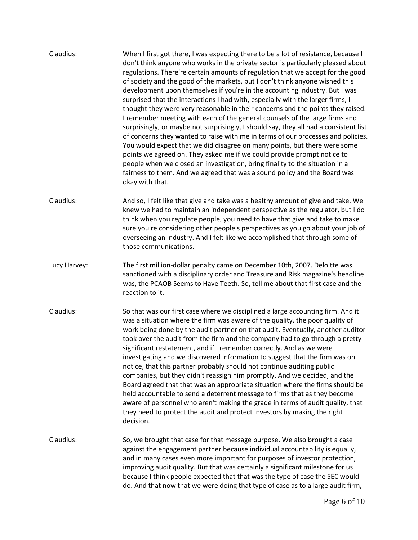| Claudius:    | When I first got there, I was expecting there to be a lot of resistance, because I<br>don't think anyone who works in the private sector is particularly pleased about<br>regulations. There're certain amounts of regulation that we accept for the good<br>of society and the good of the markets, but I don't think anyone wished this<br>development upon themselves if you're in the accounting industry. But I was<br>surprised that the interactions I had with, especially with the larger firms, I<br>thought they were very reasonable in their concerns and the points they raised.<br>I remember meeting with each of the general counsels of the large firms and<br>surprisingly, or maybe not surprisingly, I should say, they all had a consistent list<br>of concerns they wanted to raise with me in terms of our processes and policies.<br>You would expect that we did disagree on many points, but there were some<br>points we agreed on. They asked me if we could provide prompt notice to<br>people when we closed an investigation, bring finality to the situation in a<br>fairness to them. And we agreed that was a sound policy and the Board was<br>okay with that. |
|--------------|----------------------------------------------------------------------------------------------------------------------------------------------------------------------------------------------------------------------------------------------------------------------------------------------------------------------------------------------------------------------------------------------------------------------------------------------------------------------------------------------------------------------------------------------------------------------------------------------------------------------------------------------------------------------------------------------------------------------------------------------------------------------------------------------------------------------------------------------------------------------------------------------------------------------------------------------------------------------------------------------------------------------------------------------------------------------------------------------------------------------------------------------------------------------------------------------------|
| Claudius:    | And so, I felt like that give and take was a healthy amount of give and take. We<br>knew we had to maintain an independent perspective as the regulator, but I do<br>think when you regulate people, you need to have that give and take to make<br>sure you're considering other people's perspectives as you go about your job of<br>overseeing an industry. And I felt like we accomplished that through some of<br>those communications.                                                                                                                                                                                                                                                                                                                                                                                                                                                                                                                                                                                                                                                                                                                                                       |
| Lucy Harvey: | The first million-dollar penalty came on December 10th, 2007. Deloitte was<br>sanctioned with a disciplinary order and Treasure and Risk magazine's headline<br>was, the PCAOB Seems to Have Teeth. So, tell me about that first case and the<br>reaction to it.                                                                                                                                                                                                                                                                                                                                                                                                                                                                                                                                                                                                                                                                                                                                                                                                                                                                                                                                   |
| Claudius:    | So that was our first case where we disciplined a large accounting firm. And it<br>was a situation where the firm was aware of the quality, the poor quality of<br>work being done by the audit partner on that audit. Eventually, another auditor<br>took over the audit from the firm and the company had to go through a pretty<br>significant restatement, and if I remember correctly. And as we were<br>investigating and we discovered information to suggest that the firm was on<br>notice, that this partner probably should not continue auditing public<br>companies, but they didn't reassign him promptly. And we decided, and the<br>Board agreed that that was an appropriate situation where the firms should be<br>held accountable to send a deterrent message to firms that as they become<br>aware of personnel who aren't making the grade in terms of audit quality, that<br>they need to protect the audit and protect investors by making the right<br>decision.                                                                                                                                                                                                          |
| Claudius:    | So, we brought that case for that message purpose. We also brought a case<br>against the engagement partner because individual accountability is equally,<br>and in many cases even more important for purposes of investor protection,<br>improving audit quality. But that was certainly a significant milestone for us<br>because I think people expected that that was the type of case the SEC would<br>do. And that now that we were doing that type of case as to a large audit firm,                                                                                                                                                                                                                                                                                                                                                                                                                                                                                                                                                                                                                                                                                                       |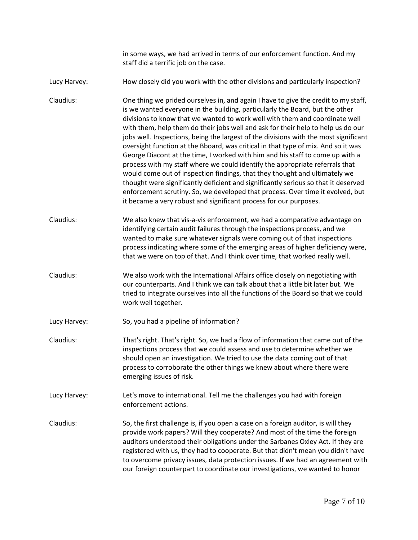in some ways, we had arrived in terms of our enforcement function. And my staff did a terrific job on the case.

Lucy Harvey: How closely did you work with the other divisions and particularly inspection?

Claudius: One thing we prided ourselves in, and again I have to give the credit to my staff, is we wanted everyone in the building, particularly the Board, but the other divisions to know that we wanted to work well with them and coordinate well with them, help them do their jobs well and ask for their help to help us do our jobs well. Inspections, being the largest of the divisions with the most significant oversight function at the Bboard, was critical in that type of mix. And so it was George Diacont at the time, I worked with him and his staff to come up with a process with my staff where we could identify the appropriate referrals that would come out of inspection findings, that they thought and ultimately we thought were significantly deficient and significantly serious so that it deserved enforcement scrutiny. So, we developed that process. Over time it evolved, but it became a very robust and significant process for our purposes.

Claudius: We also knew that vis-a-vis enforcement, we had a comparative advantage on identifying certain audit failures through the inspections process, and we wanted to make sure whatever signals were coming out of that inspections process indicating where some of the emerging areas of higher deficiency were, that we were on top of that. And I think over time, that worked really well.

Claudius: We also work with the International Affairs office closely on negotiating with our counterparts. And I think we can talk about that a little bit later but. We tried to integrate ourselves into all the functions of the Board so that we could work well together.

Lucy Harvey: So, you had a pipeline of information?

Claudius: That's right. That's right. So, we had a flow of information that came out of the inspections process that we could assess and use to determine whether we should open an investigation. We tried to use the data coming out of that process to corroborate the other things we knew about where there were emerging issues of risk.

Lucy Harvey: Let's move to international. Tell me the challenges you had with foreign enforcement actions.

Claudius: So, the first challenge is, if you open a case on a foreign auditor, is will they provide work papers? Will they cooperate? And most of the time the foreign auditors understood their obligations under the Sarbanes Oxley Act. If they are registered with us, they had to cooperate. But that didn't mean you didn't have to overcome privacy issues, data protection issues. If we had an agreement with our foreign counterpart to coordinate our investigations, we wanted to honor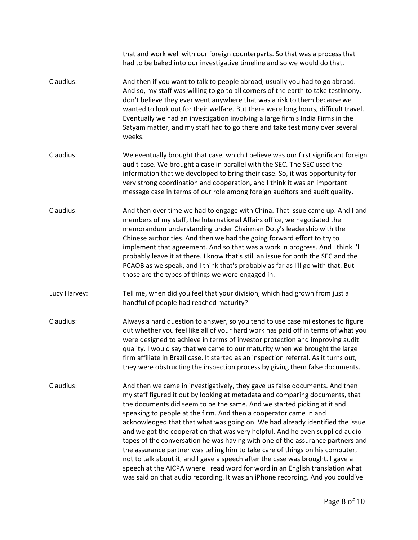|              | that and work well with our foreign counterparts. So that was a process that<br>had to be baked into our investigative timeline and so we would do that.                                                                                                                                                                                                                                                                                                                                                                                                                                                                                                                                                                                                                                                                                                                                             |
|--------------|------------------------------------------------------------------------------------------------------------------------------------------------------------------------------------------------------------------------------------------------------------------------------------------------------------------------------------------------------------------------------------------------------------------------------------------------------------------------------------------------------------------------------------------------------------------------------------------------------------------------------------------------------------------------------------------------------------------------------------------------------------------------------------------------------------------------------------------------------------------------------------------------------|
| Claudius:    | And then if you want to talk to people abroad, usually you had to go abroad.<br>And so, my staff was willing to go to all corners of the earth to take testimony. I<br>don't believe they ever went anywhere that was a risk to them because we<br>wanted to look out for their welfare. But there were long hours, difficult travel.<br>Eventually we had an investigation involving a large firm's India Firms in the<br>Satyam matter, and my staff had to go there and take testimony over several<br>weeks.                                                                                                                                                                                                                                                                                                                                                                                     |
| Claudius:    | We eventually brought that case, which I believe was our first significant foreign<br>audit case. We brought a case in parallel with the SEC. The SEC used the<br>information that we developed to bring their case. So, it was opportunity for<br>very strong coordination and cooperation, and I think it was an important<br>message case in terms of our role among foreign auditors and audit quality.                                                                                                                                                                                                                                                                                                                                                                                                                                                                                          |
| Claudius:    | And then over time we had to engage with China. That issue came up. And I and<br>members of my staff, the International Affairs office, we negotiated the<br>memorandum understanding under Chairman Doty's leadership with the<br>Chinese authorities. And then we had the going forward effort to try to<br>implement that agreement. And so that was a work in progress. And I think I'll<br>probably leave it at there. I know that's still an issue for both the SEC and the<br>PCAOB as we speak, and I think that's probably as far as I'll go with that. But<br>those are the types of things we were engaged in.                                                                                                                                                                                                                                                                            |
| Lucy Harvey: | Tell me, when did you feel that your division, which had grown from just a<br>handful of people had reached maturity?                                                                                                                                                                                                                                                                                                                                                                                                                                                                                                                                                                                                                                                                                                                                                                                |
| Claudius:    | Always a hard question to answer, so you tend to use case milestones to figure<br>out whether you feel like all of your hard work has paid off in terms of what you<br>were designed to achieve in terms of investor protection and improving audit<br>quality. I would say that we came to our maturity when we brought the large<br>firm affiliate in Brazil case. It started as an inspection referral. As it turns out,<br>they were obstructing the inspection process by giving them false documents.                                                                                                                                                                                                                                                                                                                                                                                          |
| Claudius:    | And then we came in investigatively, they gave us false documents. And then<br>my staff figured it out by looking at metadata and comparing documents, that<br>the documents did seem to be the same. And we started picking at it and<br>speaking to people at the firm. And then a cooperator came in and<br>acknowledged that that what was going on. We had already identified the issue<br>and we got the cooperation that was very helpful. And he even supplied audio<br>tapes of the conversation he was having with one of the assurance partners and<br>the assurance partner was telling him to take care of things on his computer,<br>not to talk about it, and I gave a speech after the case was brought. I gave a<br>speech at the AICPA where I read word for word in an English translation what<br>was said on that audio recording. It was an iPhone recording. And you could've |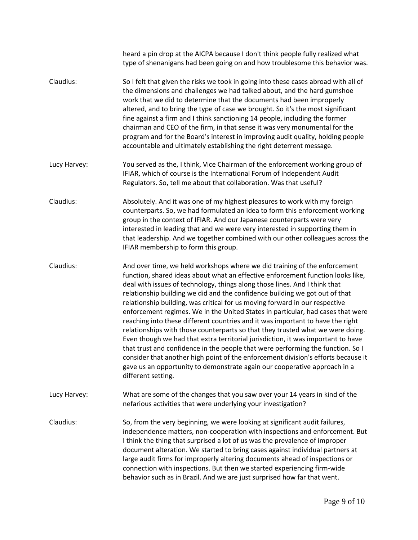|              | heard a pin drop at the AICPA because I don't think people fully realized what<br>type of shenanigans had been going on and how troublesome this behavior was.                                                                                                                                                                                                                                                                                                                                                                                                                                                                                                                                                                                                                                                                                                                                                                                                                                                                 |
|--------------|--------------------------------------------------------------------------------------------------------------------------------------------------------------------------------------------------------------------------------------------------------------------------------------------------------------------------------------------------------------------------------------------------------------------------------------------------------------------------------------------------------------------------------------------------------------------------------------------------------------------------------------------------------------------------------------------------------------------------------------------------------------------------------------------------------------------------------------------------------------------------------------------------------------------------------------------------------------------------------------------------------------------------------|
| Claudius:    | So I felt that given the risks we took in going into these cases abroad with all of<br>the dimensions and challenges we had talked about, and the hard gumshoe<br>work that we did to determine that the documents had been improperly<br>altered, and to bring the type of case we brought. So it's the most significant<br>fine against a firm and I think sanctioning 14 people, including the former<br>chairman and CEO of the firm, in that sense it was very monumental for the<br>program and for the Board's interest in improving audit quality, holding people<br>accountable and ultimately establishing the right deterrent message.                                                                                                                                                                                                                                                                                                                                                                              |
| Lucy Harvey: | You served as the, I think, Vice Chairman of the enforcement working group of<br>IFIAR, which of course is the International Forum of Independent Audit<br>Regulators. So, tell me about that collaboration. Was that useful?                                                                                                                                                                                                                                                                                                                                                                                                                                                                                                                                                                                                                                                                                                                                                                                                  |
| Claudius:    | Absolutely. And it was one of my highest pleasures to work with my foreign<br>counterparts. So, we had formulated an idea to form this enforcement working<br>group in the context of IFIAR. And our Japanese counterparts were very<br>interested in leading that and we were very interested in supporting them in<br>that leadership. And we together combined with our other colleagues across the<br>IFIAR membership to form this group.                                                                                                                                                                                                                                                                                                                                                                                                                                                                                                                                                                                 |
| Claudius:    | And over time, we held workshops where we did training of the enforcement<br>function, shared ideas about what an effective enforcement function looks like,<br>deal with issues of technology, things along those lines. And I think that<br>relationship building we did and the confidence building we got out of that<br>relationship building, was critical for us moving forward in our respective<br>enforcement regimes. We in the United States in particular, had cases that were<br>reaching into these different countries and it was important to have the right<br>relationships with those counterparts so that they trusted what we were doing.<br>Even though we had that extra territorial jurisdiction, it was important to have<br>that trust and confidence in the people that were performing the function. So I<br>consider that another high point of the enforcement division's efforts because it<br>gave us an opportunity to demonstrate again our cooperative approach in a<br>different setting. |
| Lucy Harvey: | What are some of the changes that you saw over your 14 years in kind of the<br>nefarious activities that were underlying your investigation?                                                                                                                                                                                                                                                                                                                                                                                                                                                                                                                                                                                                                                                                                                                                                                                                                                                                                   |
| Claudius:    | So, from the very beginning, we were looking at significant audit failures,<br>independence matters, non-cooperation with inspections and enforcement. But<br>I think the thing that surprised a lot of us was the prevalence of improper<br>document alteration. We started to bring cases against individual partners at<br>large audit firms for improperly altering documents ahead of inspections or<br>connection with inspections. But then we started experiencing firm-wide<br>behavior such as in Brazil. And we are just surprised how far that went.                                                                                                                                                                                                                                                                                                                                                                                                                                                               |